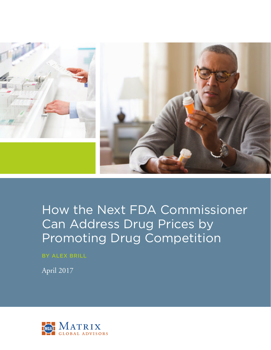

# How the Next FDA Commissioner Can Address Drug Prices by Promoting Drug Competition

BY ALEX BRILL

April 2017

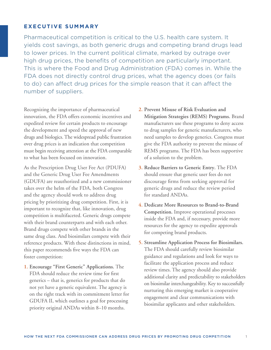## **EXECUTIVE SUMMARY**

Pharmaceutical competition is critical to the U.S. health care system. It yields cost savings, as both generic drugs and competing brand drugs lead to lower prices. In the current political climate, marked by outrage over high drug prices, the benefits of competition are particularly important. This is where the Food and Drug Administration (FDA) comes in. While the FDA does not directly control drug prices, what the agency does (or fails to do) can affect drug prices for the simple reason that it can affect the number of suppliers.

Recognizing the importance of pharmaceutical innovation, the FDA offers economic incentives and expedited review for certain products to encourage the development and speed the approval of new drugs and biologics. The widespread public frustration over drug prices is an indication that competition must begin receiving attention at the FDA comparable to what has been focused on innovation.

As the Prescription Drug User Fee Act (PDUFA) and the Generic Drug User Fee Amendments (GDUFA) are reauthorized and a new commissioner takes over the helm of the FDA, both Congress and the agency should work to address drug pricing by prioritizing drug competition. First, it is important to recognize that, like innovation, drug competition is multifaceted. Generic drugs compete with their brand counterparts and with each other. Brand drugs compete with other brands in the same drug class. And biosimilars compete with their reference products. With these distinctions in mind, this paper recommends five ways the FDA can foster competition:

**1. Encourage "First Generic" Applications.** The FDA should reduce the review time for first generics – that is, generics for products that do not yet have a generic equivalent. The agency is on the right track with its commitment letter for GDUFA II, which outlines a goal for processing priority original ANDAs within 8–10 months.

- **2. Prevent Misuse of Risk Evaluation and Mitigation Strategies (REMS) Programs.** Brand manufacturers use these programs to deny access to drug samples for generic manufacturers, who need samples to develop generics. Congress must give the FDA authority to prevent the misuse of REMS programs. The FDA has been supportive of a solution to the problem.
- **3. Reduce Barriers to Generic Entry.** The FDA should ensure that generic user fees do not discourage firms from seeking approval for generic drugs and reduce the review period for standard ANDAs.
- **4. Dedicate More Resources to Brand-to-Brand Competition.** Improve operational processes inside the FDA and, if necessary, provide more resources for the agency to expedite approvals for competing brand products.
- **5. Streamline Application Process for Biosimilars.** The FDA should carefully review biosimilar guidance and regulations and look for ways to facilitate the application process and reduce review times. The agency should also provide additional clarity and predictability to stakeholders on biosimilar interchangeability. Key to successfully nurturing this emerging market is cooperative engagement and clear communications with biosimilar applicants and other stakeholders.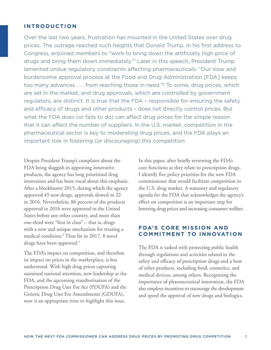#### **INTRODUCTION**

Over the last two years, frustration has mounted in the United States over drug prices. The outrage reached such heights that Donald Trump, in his first address to Congress, enjoined members to "work to bring down the artificially high price of drugs and bring them down immediately."1 Later in this speech, President Trump lamented undue regulatory constraints affecting pharmaceuticals: "Our slow and burdensome approval process at the Food and Drug Administration [FDA] keeps too many advances . . . from reaching those in need."2 To some, drug prices, which are set in the market, and drug approvals, which are controlled by government regulators, are distinct. It is true that the FDA – responsible for ensuring the safety and efficacy of drugs and other products – does not directly control prices. But what the FDA does (or fails to do) can affect drug prices for the simple reason that it can affect the number of suppliers. In the U.S. market, competition in the pharmaceutical sector is key to moderating drug prices, and the FDA plays an important role in fostering (or discouraging) this competition.

Despite President Trump's complaint about the FDA being sluggish in approving innovative products, the agency has long prioritized drug innovation and has been vocal about this emphasis. After a blockbuster 2015, during which the agency approved 45 new drugs, approvals slowed to 22 in 2016. Nevertheless, 86 percent of the products approved in 2016 were approved in the United States before any other country, and more than one-third were "first in class" – that is, drugs with a new and unique mechanism for treating a medical condition.3 Thus far in 2017, 8 novel drugs have been approved.<sup>4</sup>

The FDA's impact on competition, and therefore its impact on prices in the marketplace, is less understood. With high drug prices capturing sustained national attention, new leadership at the FDA, and the upcoming reauthorization of the Prescription Drug User Fee Act (PDUFA) and the Generic Drug User Fee Amendments (GDUFA), now is an appropriate time to highlight this issue.

In this paper, after briefly reviewing the FDA's core functions as they relate to prescription drugs, I identify five policy priorities for the new FDA commissioner that would facilitate competition in the U.S. drug market. A statutory and regulatory agenda for the FDA that acknowledges the agency's effect on competition is an important step for lowering drug prices and increasing consumer welfare.

## **FDA'S CORE MISSION AND COMMITMENT TO INNOVATION**

The FDA is tasked with protecting public health through regulations and activities related to the safety and efficacy of prescription drugs and a host of other products, including food, cosmetics, and medical devices, among others. Recognizing the importance of pharmaceutical innovation, the FDA also employs incentives to encourage the development and speed the approval of new drugs and biologics.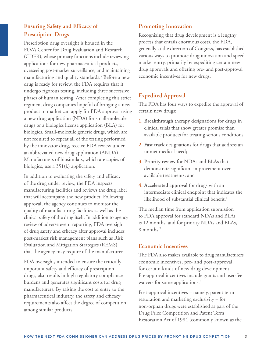# **Ensuring Safety and Efficacy of Prescription Drugs**

Prescription drug oversight is housed in the FDA's Center for Drug Evaluation and Research (CDER), whose primary functions include reviewing applications for new pharmaceutical products, overseeing post-market surveillance, and maintaining manufacturing and quality standards.<sup>5</sup> Before a new drug is ready for review, the FDA requires that it undergo rigorous testing, including three successive phases of human testing. After completing this strict regimen, drug companies hopeful of bringing a new product to market can apply for FDA approval using a new drug application (NDA) for small-molecule drugs or a biologics license application (BLA) for biologics. Small-molecule generic drugs, which are not required to repeat all of the testing performed by the innovator drug, receive FDA review under an abbreviated new drug application (ANDA). Manufacturers of biosimilars, which are copies of biologics, use a 351(k) application.

In addition to evaluating the safety and efficacy of the drug under review, the FDA inspects manufacturing facilities and reviews the drug label that will accompany the new product. Following approval, the agency continues to monitor the quality of manufacturing facilities as well as the clinical safety of the drug itself. In addition to agency review of adverse event reporting, FDA oversight of drug safety and efficacy after approval includes post-market risk management plans such as Risk Evaluation and Mitigation Strategies (REMS) that the agency may require of the manufacturer.

FDA oversight, intended to ensure the critically important safety and efficacy of prescription drugs, also results in high regulatory compliance burdens and generates significant costs for drug manufacturers. By raising the cost of entry to the pharmaceutical industry, the safety and efficacy requirements also affect the degree of competition among similar products.

# **Promoting Innovation**

Recognizing that drug development is a lengthy process that entails enormous costs, the FDA, generally at the direction of Congress, has established various ways to promote drug innovation and speed market entry, primarily by expediting certain new drug approvals and offering pre- and post-approval economic incentives for new drugs.

# **Expedited Approval**

The FDA has four ways to expedite the approval of certain new drugs:

- **1. Breakthrough** therapy designations for drugs in clinical trials that show greater promise than available products for treating serious conditions;
- **2. Fast track** designations for drugs that address an unmet medical need;
- **3. Priority review** for NDAs and BLAs that demonstrate significant improvement over available treatments; and
- **4. Accelerated approval** for drugs with an intermediate clinical endpoint that indicates the likelihood of substantial clinical benefit.<sup>6</sup>

The median time from application submission to FDA approval for standard NDAs and BLAs is 12 months, and for priority NDAs and BLAs, 8 months.<sup>7</sup>

# **Economic Incentives**

The FDA also makes available to drug manufacturers economic incentives, pre- and post-approval, for certain kinds of new drug development. Pre-approval incentives include grants and user-fee waivers for some applications.<sup>8</sup>

Post-approval incentives – namely, patent term restoration and marketing exclusivity – for non-orphan drugs were established as part of the Drug Price Competition and Patent Term Restoration Act of 1984 (commonly known as the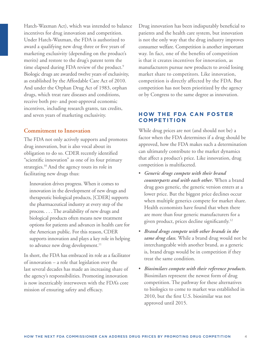Hatch-Waxman Act), which was intended to balance incentives for drug innovation and competition. Under Hatch-Waxman, the FDA is authorized to award a qualifying new drug three or five years of marketing exclusivity (depending on the product's merits) and restore to the drug's patent term the time elapsed during FDA review of the product.<sup>9</sup> Biologic drugs are awarded twelve years of exclusivity, as established by the Affordable Care Act of 2010. And under the Orphan Drug Act of 1983, orphan drugs, which treat rare diseases and conditions, receive both pre- and post-approval economic incentives, including research grants, tax credits, and seven years of marketing exclusivity.

## **Commitment to Innovation**

The FDA not only actively supports and promotes drug innovation, but is also vocal about its obligation to do so. CDER recently identified "scientific innovation" as one of its four primary strategies.<sup>10</sup> And the agency touts its role in facilitating new drugs thus:

 Innovation drives progress. When it comes to innovation in the development of new drugs and therapeutic biological products, [CDER] supports the pharmaceutical industry at every step of the process. . . . The availability of new drugs and biological products often means new treatment options for patients and advances in health care for the American public. For this reason, CDER supports innovation and plays a key role in helping to advance new drug development.<sup>11</sup>

In short, the FDA has embraced its role as a facilitator of innovation – a role that legislation over the last several decades has made an increasing share of the agency's responsibilities. Promoting innovation is now inextricably interwoven with the FDA's core mission of ensuring safety and efficacy.

Drug innovation has been indisputably beneficial to patients and the health care system, but innovation is not the only way that the drug industry improves consumer welfare. Competition is another important way. In fact, one of the benefits of competition is that it creates incentives for innovation, as manufacturers pursue new products to avoid losing market share to competitors. Like innovation, competition is directly affected by the FDA. But competition has not been prioritized by the agency or by Congress to the same degree as innovation.

# **HOW THE FDA CAN FOSTER CO M P E T I T I O N**

While drug prices are not (and should not be) a factor when the FDA determines if a drug should be approved, how the FDA makes such a determination can ultimately contribute to the market dynamics that affect a product's price. Like innovation, drug competition is multifaceted.

- *Generic drugs compete with their brand counterparts and with each other.* When a brand drug goes generic, the generic version enters at a lower price. But the biggest price declines occur when multiple generics compete for market share. Health economists have found that when there are more than four generic manufacturers for a given product, prices decline significantly.12
- *Brand drugs compete with other brands in the same drug class.* While a brand drug would not be interchangeable with another brand, as a generic is, brand drugs would be in competition if they treat the same condition.
- *Biosimilars compete with their reference products.*  Biosimilars represent the newest form of drug competition. The pathway for these alternatives to biologics to come to market was established in 2010, but the first U.S. biosimilar was not approved until 2015.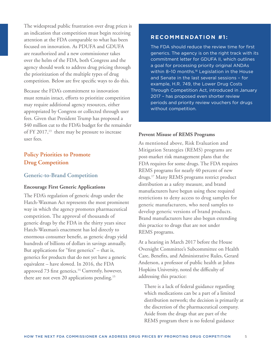The widespread public frustration over drug prices is an indication that competition must begin receiving attention at the FDA comparable to what has been focused on innovation. As PDUFA and GDUFA are reauthorized and a new commissioner takes over the helm of the FDA, both Congress and the agency should work to address drug pricing through the prioritization of the multiple types of drug competition. Below are five specific ways to do this.

Because the FDA's commitment to innovation must remain intact, efforts to prioritize competition may require additional agency resources, either appropriated by Congress or collected through user fees. Given that President Trump has proposed a \$40 million cut to the FDA's budget for the remainder of FY 2017, $^{13}$  there may be pressure to increase user fees.

# **Policy Priorities to Promote Drug Competition**

## **Generic-to-Brand Competition**

#### **Encourage First Generic Applications**

The FDA's regulation of generic drugs under the Hatch-Waxman Act represents the most prominent way in which the agency promotes pharmaceutical competition. The approval of thousands of generic drugs by the FDA in the thirty years since Hatch-Waxman's enactment has led directly to enormous consumer benefit, as generic drugs yield hundreds of billions of dollars in savings annually. But applications for "first generics" – that is, generics for products that do not yet have a generic equivalent – have slowed. In 2016, the FDA approved 73 first generics.<sup>14</sup> Currently, however, there are not even 20 applications pending.<sup>15</sup>

## **RECOMMENDATION #1:**

The FDA should reduce the review time for first generics. The agency is on the right track with its commitment letter for GDUFA II, which outlines a goal for processing priority original ANDAs within 8-10 months.<sup>16</sup> Legislation in the House and Senate in the last several sessions – for example, H.R. 749, the Lower Drug Costs Through Competition Act, introduced in January 2017 – has proposed even shorter review periods and priority review vouchers for drugs without competition.

#### **Prevent Misuse of REMS Programs**

As mentioned above, Risk Evaluation and Mitigation Strategies (REMS) programs are post-market risk management plans that the FDA requires for some drugs. The FDA requires REMS programs for nearly 40 percent of new drugs.17 Many REMS programs restrict product distribution as a safety measure, and brand manufacturers have begun using these required restrictions to deny access to drug samples for generic manufacturers, who need samples to develop generic versions of brand products. Brand manufacturers have also begun extending this practice to drugs that are not under REMS programs.

At a hearing in March 2017 before the House Oversight Committee's Subcommittee on Health Care, Benefits, and Administrative Rules, Gerard Anderson, a professor of public health at Johns Hopkins University, noted the difficulty of addressing this practice:

 There is a lack of federal guidance regarding which medications can be a part of a limited distribution network; the decision is primarily at the discretion of the pharmaceutical company. Aside from the drugs that are part of the REMS program there is no federal guidance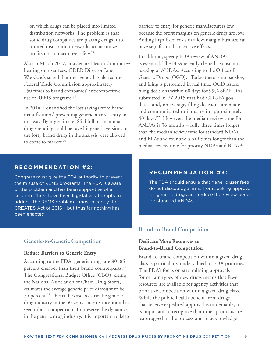on which drugs can be placed into limited distribution networks. The problem is that some drug companies are placing drugs into limited distribution networks to maximize profits not to maximize safety.18

Also in March 2017, at a Senate Health Committee hearing on user fees, CDER Director Janet Woodcock stated that the agency has alerted the Federal Trade Commission approximately 150 times to brand companies' anticompetitive use of REMS programs.<sup>19</sup>

In 2014, I quantified the lost savings from brand manufacturers' preventing generic market entry in this way. By my estimate, \$5.4 billion in annual drug spending could be saved if generic versions of the forty brand drugs in the analysis were allowed to come to market.<sup>20</sup>

barriers to entry for generic manufacturers low because the profit margins on generic drugs are low. Adding high fixed costs in a low-margin business can have significant disincentive effects.

In addition, speedy FDA review of ANDAs is essential. The FDA recently cleared a substantial backlog of ANDAs. According to the Office of Generic Drugs (OGD), "Today there is no backlog, and filing is performed in real time. OGD issued filing decisions within 60 days for 99% of ANDAs submitted in FY 2015 that had GDUFA goal dates, and, on average, filing decisions are made and communicated to industry in approximately 40 days."23 However, the median review time for ANDAs is 36 months – fully three times longer than the median review time for standard NDAs and BLAs and four and a half times longer than the median review time for priority NDAs and BLAs.<sup>24</sup>

### **RECOMMENDATION #2:**

Congress must give the FDA authority to prevent the misuse of REMS programs. The FDA is aware of the problem and has been supportive of a solution. There have been legislative attempts to address the REMS problem – most recently the CREATES Act of 2016 – but thus far nothing has been enacted.

#### **Generic-to-Generic Competition**

#### **Reduce Barriers to Generic Entry**

According to the FDA, generic drugs are 80–85 percent cheaper than their brand counterparts.<sup>21</sup> The Congressional Budget Office (CBO), citing the National Association of Chain Drug Stores, estimates the average generic price discount to be 75 percent.<sup>22</sup> This is the case because the generic drug industry in the 30 years since its inception has seen robust competition. To preserve the dynamics in the generic drug industry, it is important to keep

## **RECOMMENDATION #3:**

The FDA should ensure that generic user fees do not discourage firms from seeking approval for generic drugs and reduce the review period for standard ANDAs.

#### **Brand-to-Brand Competition**

## **Dedicate More Resources to Brand-to-Brand Competition**

Brand-to-brand competition within a given drug class is particularly undervalued in FDA priorities. The FDA's focus on streamlining approvals for certain types of new drugs means that fewer resources are available for agency activities that prioritize competition within a given drug class. While the public health benefit from drugs that receive expedited approval is undeniable, it is important to recognize that other products are leapfrogged in the process and to acknowledge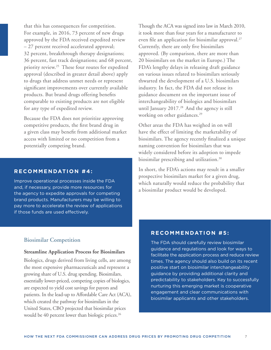that this has consequences for competition. For example, in 2016, 73 percent of new drugs approved by the FDA received expedited review – 27 percent received accelerated approval; 32 percent, breakthrough therapy designations; 36 percent, fast track designations; and 68 percent, priority review.25 These four routes for expedited approval (described in greater detail above) apply to drugs that address unmet needs or represent significant improvements over currently available products. But brand drugs offering benefits comparable to existing products are not eligible for any type of expedited review.

Because the FDA does not prioritize approving competitive products, the first brand drug in a given class may benefit from additional market access with limited or no competition from a potentially competing brand.

#### **RECOMMENDATION #4:**

Improve operational processes inside the FDA and, if necessary, provide more resources for the agency to expedite approvals for competing brand products. Manufacturers may be willing to pay more to accelerate the review of applications if those funds are used effectively.

#### **Biosimilar Competition**

#### **Streamline Application Process for Biosimilars**

Biologics, drugs derived from living cells, are among the most expensive pharmaceuticals and represent a growing share of U.S. drug spending. Biosimilars, essentially lower-priced, competing copies of biologics, are expected to yield cost savings for payors and patients. In the lead-up to Affordable Care Act (ACA), which created the pathway for biosimilars in the United States, CBO projected that biosimilar prices would be 40 percent lower than biologic prices.<sup>26</sup>

Though the ACA was signed into law in March 2010, it took more than four years for a manufacturer to even file an application for biosimilar approval.<sup>27</sup> Currently, there are only five biosimilars approved. (By comparison, there are more than 20 biosimilars on the market in Europe.) The FDA's lengthy delays in releasing draft guidance on various issues related to biosimilars seriously thwarted the development of a U.S. biosimilars industry. In fact, the FDA did not release its guidance document on the important issue of interchangeability of biologics and biosimilars until January 2017.<sup>28</sup> And the agency is still working on other guidances.<sup>29</sup>

Other areas the FDA has weighed in on will have the effect of limiting the marketability of biosimilars. The agency recently finalized a unique naming convention for biosimilars that was widely considered before its adoption to impede biosimilar prescribing and utilization.<sup>30</sup>

In short, the FDA's actions may result in a smaller prospective biosimilars market for a given drug, which naturally would reduce the probability that a biosimilar product would be developed.

#### **RECOMMENDATION #5:**

The FDA should carefully review biosimilar guidance and regulations and look for ways to facilitate the application process and reduce review times. The agency should also build on its recent positive start on biosimilar interchangeability guidance by providing additional clarity and predictability to stakeholders. Key to successfully nurturing this emerging market is cooperative engagement and clear communications with biosimilar applicants and other stakeholders.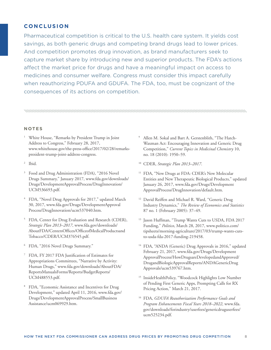## **CONCLUSION**

Pharmaceutical competition is critical to the U.S. health care system. It yields cost savings, as both generic drugs and competing brand drugs lead to lower prices. And competition promotes drug innovation, as brand manufacturers seek to capture market share by introducing new and superior products. The FDA's actions affect the market price for drugs and have a meaningful impact on access to medicines and consumer welfare. Congress must consider this impact carefully when reauthorizing PDUFA and GDUFA. The FDA, too, must be cognizant of the consequences of its actions on competition.

#### **N OT E S**

- <sup>1</sup> White House, "Remarks by President Trump in Joint Address to Congress," February 28, 2017, www.whitehouse.gov/the-press-office/2017/02/28/remarkspresident-trump-joint-address-congress.
- <sup>2</sup> Ibid.
- 3 Food and Drug Administration (FDA), "2016 Novel Drugs Summary," January 2017, www.fda.gov/downloads/ Drugs/DevelopmentApprovalProcess/DrugInnovation/ UCM536693.pdf.
- 4 FDA, "Novel Drug Approvals for 2017," updated March 30, 2017, www.fda.gov/Drugs/DevelopmentApproval Process/DrugInnovation/ucm537040.htm.
- 5 FDA, Center for Drug Evaluation and Research (CDER), *Strategic Plan 2013–2017*, www.fda.gov/downloads/ AboutFDA/CentersOffices/OfficeofMedicalProductsand Tobacco/CDER/UCM376545.pdf.
- <sup>6</sup> FDA, "2016 Novel Drugs Summary."
- 7 FDA, FY 2017 FDA Justification of Estimates for Appropriations Committees, "Narrative by Activity: Human Drugs," www.fda.gov/downloads/AboutFDA/ ReportsManualsForms/Reports/BudgetReports/ UCM488553.pdf.
- <sup>8</sup> FDA, "Economic Assistance and Incentives for Drug Development," updated April 11, 2016, www.fda.gov/ Drugs/DevelopmentApprovalProcess/SmallBusiness Assistance/ucm069929.htm.
- 9 Allen M. Sokal and Bart A. Gerstenblith, "The Hatch-Waxman Act: Encouraging Innovation and Generic Drug Competition," *Current Topics in Medicinal Chemistry* 10, no. 18 (2010): 1950–59.
- 10 CDER, *Strategic Plan 2013–2017*.
- <sup>11</sup> FDA, "New Drugs at FDA: CDER's New Molecular Entities and New Therapeutic Biological Products," updated January 26, 2017, www.fda.gov/Drugs/Development ApprovalProcess/DrugInnovation/default.htm.
- <sup>12</sup> David Reiffen and Michael R. Ward, "Generic Drug Industry Dynamics," *The Review of Economics and Statistics* 87 no. 1 (February 2005): 37–49.
- 13 Jason Huffman, "Trump Wants Cuts to USDA, FDA 2017 Funding," *Politico*, March 28, 2017, www.politico.com/ tipsheets/morning-agriculture/2017/03/trump-wants-cutsto-usda-fda-2017-funding-219458.
- <sup>14</sup> FDA, "ANDA (Generic) Drug Approvals in 2016," updated February 21, 2017, www.fda.gov/Drugs/Development ApprovalProcess/HowDrugsareDevelopedandApproved/ DrugandBiologicApprovalReports/ANDAGenericDrug Approvals/ucm539767.htm.
- 15 InsideHealthPolicy, "Woodcock Highlights Low Number of Pending First Generic Apps, Prompting Calls for RX Pricing Action," March 21, 2017.
- 16 FDA, *GDUFA Reauthorization Performance Goals and Program Enhancements Fiscal Years 2018–2022*, www.fda. gov/downloads/forindustry/userfees/genericdruguserfees/ ucm525234.pdf.